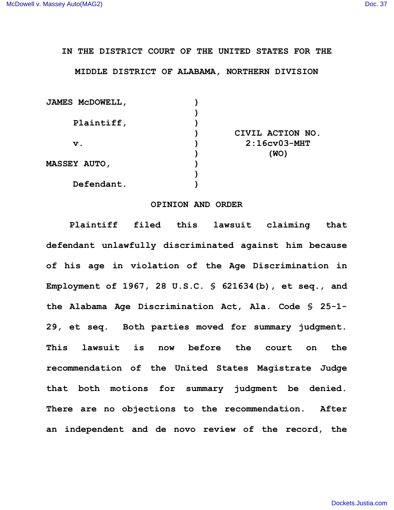## **IN THE DISTRICT COURT OF THE UNITED STATES FOR THE**

## **MIDDLE DISTRICT OF ALABAMA, NORTHERN DIVISION**

| <b>JAMES MCDOWELL,</b> |                  |
|------------------------|------------------|
|                        |                  |
| Plaintiff,             |                  |
|                        | CIVIL ACTION NO. |
| $\mathbf v$ .          | $2:16cv03-MHT$   |
|                        | (WO)             |
| <b>MASSEY AUTO,</b>    |                  |
|                        |                  |
| Defendant.             |                  |
|                        |                  |

## **OPINION AND ORDER**

**Plaintiff filed this lawsuit claiming that defendant unlawfully discriminated against him because of his age in violation of the Age Discrimination in Employment of 1967, 28 U.S.C. § 621634(b), et seq., and the Alabama Age Discrimination Act, Ala. Code § 25-1- 29, et seq. Both parties moved for summary judgment. This lawsuit is now before the court on the recommendation of the United States Magistrate Judge that both motions for summary judgment be denied. There are no objections to the recommendation. After an independent and de novo review of the record, the**